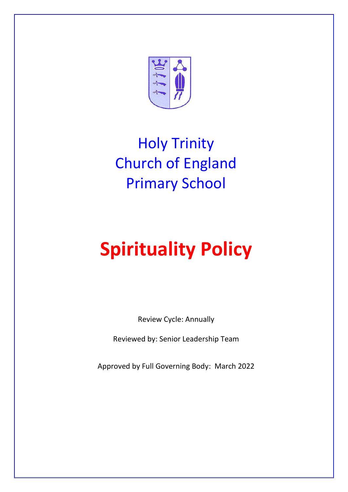

## Holy Trinity Church of England Primary School

# **Spirituality Policy**

Review Cycle: Annually

Reviewed by: Senior Leadership Team

Approved by Full Governing Body: March 2022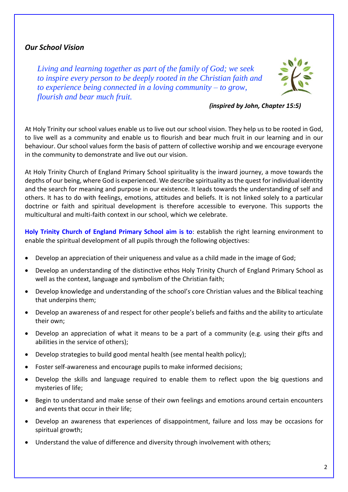#### *Our School Vision*

*Living and learning together as part of the family of God; we seek to inspire every person to be deeply rooted in the Christian faith and to experience being connected in a loving community – to grow, flourish and bear much fruit.*



 *(inspired by John, Chapter 15:5)*

At Holy Trinity our school values enable us to live out our school vision. They help us to be rooted in God, to live well as a community and enable us to flourish and bear much fruit in our learning and in our behaviour. Our school values form the basis of pattern of collective worship and we encourage everyone in the community to demonstrate and live out our vision.

At Holy Trinity Church of England Primary School spirituality is the inward journey, a move towards the depths of our being, where God is experienced. We describe spirituality as the quest for individual identity and the search for meaning and purpose in our existence. It leads towards the understanding of self and others. It has to do with feelings, emotions, attitudes and beliefs. It is not linked solely to a particular doctrine or faith and spiritual development is therefore accessible to everyone. This supports the multicultural and multi-faith context in our school, which we celebrate.

**Holy Trinity Church of England Primary School aim is to**: establish the right learning environment to enable the spiritual development of all pupils through the following objectives:

- Develop an appreciation of their uniqueness and value as a child made in the image of God;
- Develop an understanding of the distinctive ethos Holy Trinity Church of England Primary School as well as the context, language and symbolism of the Christian faith;
- Develop knowledge and understanding of the school's core Christian values and the Biblical teaching that underpins them;
- Develop an awareness of and respect for other people's beliefs and faiths and the ability to articulate their own;
- Develop an appreciation of what it means to be a part of a community (e.g. using their gifts and abilities in the service of others);
- Develop strategies to build good mental health (see mental health policy);
- Foster self-awareness and encourage pupils to make informed decisions;
- Develop the skills and language required to enable them to reflect upon the big questions and mysteries of life;
- Begin to understand and make sense of their own feelings and emotions around certain encounters and events that occur in their life;
- Develop an awareness that experiences of disappointment, failure and loss may be occasions for spiritual growth;
- Understand the value of difference and diversity through involvement with others;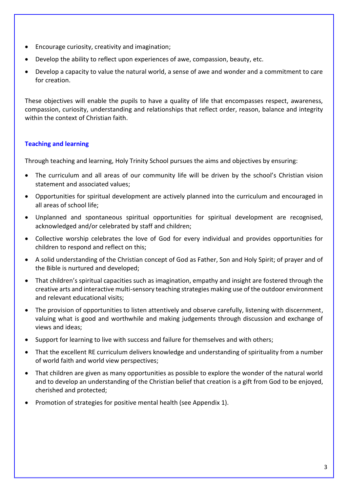- Encourage curiosity, creativity and imagination;
- Develop the ability to reflect upon experiences of awe, compassion, beauty, etc.
- Develop a capacity to value the natural world, a sense of awe and wonder and a commitment to care for creation.

These objectives will enable the pupils to have a quality of life that encompasses respect, awareness, compassion, curiosity, understanding and relationships that reflect order, reason, balance and integrity within the context of Christian faith.

#### **Teaching and learning**

Through teaching and learning, Holy Trinity School pursues the aims and objectives by ensuring:

- The curriculum and all areas of our community life will be driven by the school's Christian vision statement and associated values;
- Opportunities for spiritual development are actively planned into the curriculum and encouraged in all areas of school life;
- Unplanned and spontaneous spiritual opportunities for spiritual development are recognised, acknowledged and/or celebrated by staff and children;
- Collective worship celebrates the love of God for every individual and provides opportunities for children to respond and reflect on this;
- A solid understanding of the Christian concept of God as Father, Son and Holy Spirit; of prayer and of the Bible is nurtured and developed;
- That children's spiritual capacities such as imagination, empathy and insight are fostered through the creative arts and interactive multi-sensory teaching strategies making use of the outdoor environment and relevant educational visits;
- The provision of opportunities to listen attentively and observe carefully, listening with discernment, valuing what is good and worthwhile and making judgements through discussion and exchange of views and ideas;
- Support for learning to live with success and failure for themselves and with others;
- That the excellent RE curriculum delivers knowledge and understanding of spirituality from a number of world faith and world view perspectives;
- That children are given as many opportunities as possible to explore the wonder of the natural world and to develop an understanding of the Christian belief that creation is a gift from God to be enjoyed, cherished and protected;
- Promotion of strategies for positive mental health (see Appendix 1).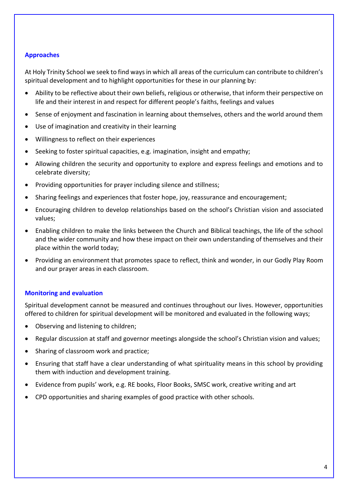#### **Approaches**

At Holy Trinity School we seek to find ways in which all areas of the curriculum can contribute to children's spiritual development and to highlight opportunities for these in our planning by:

- Ability to be reflective about their own beliefs, religious or otherwise, that inform their perspective on life and their interest in and respect for different people's faiths, feelings and values
- Sense of enjoyment and fascination in learning about themselves, others and the world around them
- Use of imagination and creativity in their learning
- Willingness to reflect on their experiences
- Seeking to foster spiritual capacities, e.g. imagination, insight and empathy;
- Allowing children the security and opportunity to explore and express feelings and emotions and to celebrate diversity;
- Providing opportunities for prayer including silence and stillness;
- Sharing feelings and experiences that foster hope, joy, reassurance and encouragement;
- Encouraging children to develop relationships based on the school's Christian vision and associated values;
- Enabling children to make the links between the Church and Biblical teachings, the life of the school and the wider community and how these impact on their own understanding of themselves and their place within the world today;
- Providing an environment that promotes space to reflect, think and wonder, in our Godly Play Room and our prayer areas in each classroom.

#### **Monitoring and evaluation**

Spiritual development cannot be measured and continues throughout our lives. However, opportunities offered to children for spiritual development will be monitored and evaluated in the following ways;

- Observing and listening to children;
- Regular discussion at staff and governor meetings alongside the school's Christian vision and values;
- Sharing of classroom work and practice:
- Ensuring that staff have a clear understanding of what spirituality means in this school by providing them with induction and development training.
- Evidence from pupils' work, e.g. RE books, Floor Books, SMSC work, creative writing and art
- CPD opportunities and sharing examples of good practice with other schools.